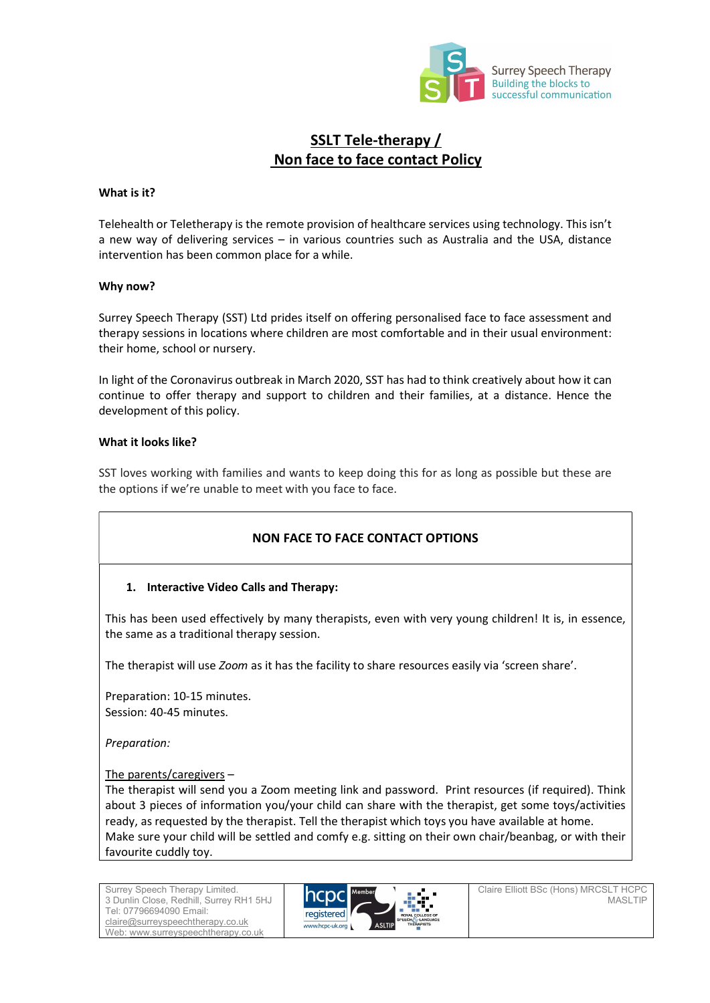

# SSLT Tele-therapy / Non face to face contact Policy

### What is it?

Telehealth or Teletherapy is the remote provision of healthcare services using technology. This isn't a new way of delivering services – in various countries such as Australia and the USA, distance intervention has been common place for a while.

#### Why now?

Surrey Speech Therapy (SST) Ltd prides itself on offering personalised face to face assessment and therapy sessions in locations where children are most comfortable and in their usual environment: their home, school or nursery.

In light of the Coronavirus outbreak in March 2020, SST has had to think creatively about how it can continue to offer therapy and support to children and their families, at a distance. Hence the development of this policy.

### What it looks like?

SST loves working with families and wants to keep doing this for as long as possible but these are the options if we're unable to meet with you face to face.

## NON FACE TO FACE CONTACT OPTIONS

### 1. Interactive Video Calls and Therapy:

This has been used effectively by many therapists, even with very young children! It is, in essence, the same as a traditional therapy session.

The therapist will use Zoom as it has the facility to share resources easily via 'screen share'.

Preparation: 10-15 minutes. Session: 40-45 minutes.

Preparation:

### The parents/caregivers –

The therapist will send you a Zoom meeting link and password. Print resources (if required). Think about 3 pieces of information you/your child can share with the therapist, get some toys/activities ready, as requested by the therapist. Tell the therapist which toys you have available at home. Make sure your child will be settled and comfy e.g. sitting on their own chair/beanbag, or with their favourite cuddly toy.